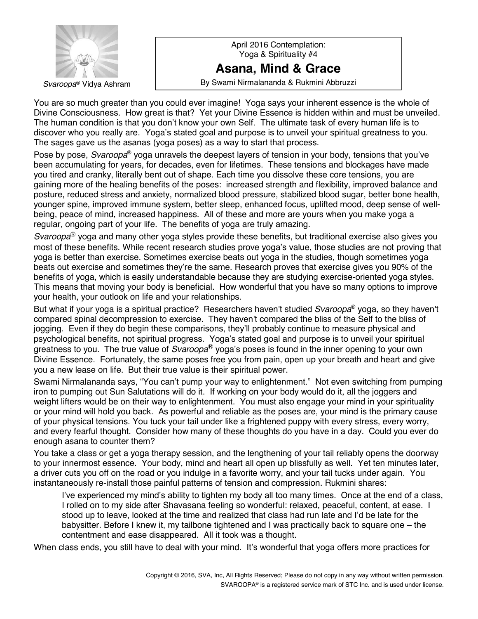

April 2016 Contemplation: Yoga & Spirituality #4 **Asana, Mind & Grace Svaroopa**® Vidya Ashram **Result in Result as By Swami Nirmalananda & Rukmini Abbruzzi** 

You are so much greater than you could ever imagine! Yoga says your inherent essence is the whole of Divine Consciousness. How great is that? Yet your Divine Essence is hidden within and must be unveiled. The human condition is that you donít know your own Self. The ultimate task of every human life is to discover who you really are. Yogaís stated goal and purpose is to unveil your spiritual greatness to you. The sages gave us the asanas (yoga poses) as a way to start that process.

Pose by pose, *Svaroopa*<sup>®</sup> yoga unravels the deepest layers of tension in your body, tensions that you've been accumulating for years, for decades, even for lifetimes. These tensions and blockages have made you tired and cranky, literally bent out of shape. Each time you dissolve these core tensions, you are gaining more of the healing benefits of the poses: increased strength and flexibility, improved balance and posture, reduced stress and anxiety, normalized blood pressure, stabilized blood sugar, better bone health, younger spine, improved immune system, better sleep, enhanced focus, uplifted mood, deep sense of wellbeing, peace of mind, increased happiness. All of these and more are yours when you make yoga a regular, ongoing part of your life. The benefits of yoga are truly amazing.

*Svaroopa*<sup>®</sup> yoga and many other yoga styles provide these benefits, but traditional exercise also gives you most of these benefits. While recent research studies prove yoga's value, those studies are not proving that yoga is better than exercise. Sometimes exercise beats out yoga in the studies, though sometimes yoga beats out exercise and sometimes they're the same. Research proves that exercise gives you 90% of the benefits of yoga, which is easily understandable because they are studying exercise-oriented yoga styles. This means that moving your body is beneficial. How wonderful that you have so many options to improve your health, your outlook on life and your relationships.

But what if your yoga is a spiritual practice? Researchers haven't studied *Svaroopa*® yoga, so they haven't compared spinal decompression to exercise. They haven't compared the bliss of the Self to the bliss of jogging. Even if they do begin these comparisons, they'll probably continue to measure physical and psychological benefits, not spiritual progress. Yoga's stated goal and purpose is to unveil your spiritual greatness to you. The true value of *Svaroopa*<sup>®</sup> yoga's poses is found in the inner opening to your own Divine Essence. Fortunately, the same poses free you from pain, open up your breath and heart and give you a new lease on life. But their true value is their spiritual power.

Swami Nirmalananda says, "You can't pump your way to enlightenment." Not even switching from pumping iron to pumping out Sun Salutations will do it. If working on your body would do it, all the joggers and weight lifters would be on their way to enlightenment. You must also engage your mind in your spirituality or your mind will hold you back. As powerful and reliable as the poses are, your mind is the primary cause of your physical tensions. You tuck your tail under like a frightened puppy with every stress, every worry, and every fearful thought. Consider how many of these thoughts do you have in a day. Could you ever do enough asana to counter them?

You take a class or get a yoga therapy session, and the lengthening of your tail reliably opens the doorway to your innermost essence. Your body, mind and heart all open up blissfully as well. Yet ten minutes later, a driver cuts you off on the road or you indulge in a favorite worry, and your tail tucks under again. You instantaneously re-install those painful patterns of tension and compression. Rukmini shares:

I've experienced my mind's ability to tighten my body all too many times. Once at the end of a class, I rolled on to my side after Shavasana feeling so wonderful: relaxed, peaceful, content, at ease. I stood up to leave, looked at the time and realized that class had run late and Iíd be late for the babysitter. Before I knew it, my tailbone tightened and I was practically back to square one - the contentment and ease disappeared. All it took was a thought.

When class ends, you still have to deal with your mind. It's wonderful that yoga offers more practices for